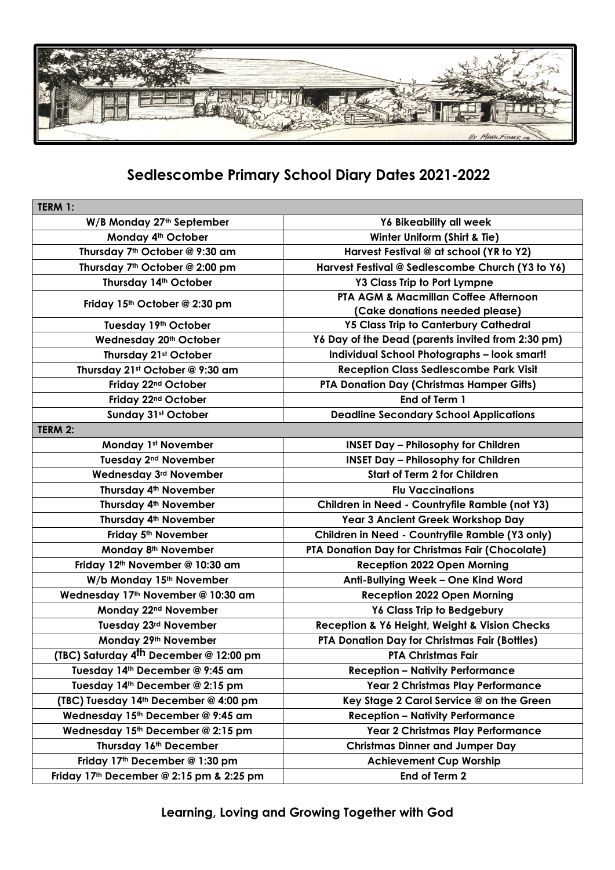

## **Sedlescombe Primary School Diary Dates 2021-2022**

| W/B Monday 27th September<br><b>Y6 Bikeability all week</b><br>Monday 4th October<br>Winter Uniform (Shirt & Tie)<br>Thursday 7th October @ 9:30 am<br>Harvest Festival @ at school (YR to Y2)<br>Thursday 7th October @ 2:00 pm<br>Harvest Festival @ Sedlescombe Church (Y3 to Y6)<br>Thursday 14th October<br><b>Y3 Class Trip to Port Lympne</b><br>PTA AGM & Macmillan Coffee Afternoon<br>Friday 15th October @ 2:30 pm<br>(Cake donations needed please)<br>Tuesday 19th October<br><b>Y5 Class Trip to Canterbury Cathedral</b><br>Y6 Day of the Dead (parents invited from 2:30 pm)<br>Wednesday 20th October<br><b>Individual School Photographs - look smart!</b><br>Thursday 21st October<br><b>Reception Class Sedlescombe Park Visit</b><br>Thursday 21st October @ 9:30 am<br>Friday 22nd October<br>PTA Donation Day (Christmas Hamper Gifts) |
|---------------------------------------------------------------------------------------------------------------------------------------------------------------------------------------------------------------------------------------------------------------------------------------------------------------------------------------------------------------------------------------------------------------------------------------------------------------------------------------------------------------------------------------------------------------------------------------------------------------------------------------------------------------------------------------------------------------------------------------------------------------------------------------------------------------------------------------------------------------|
|                                                                                                                                                                                                                                                                                                                                                                                                                                                                                                                                                                                                                                                                                                                                                                                                                                                               |
|                                                                                                                                                                                                                                                                                                                                                                                                                                                                                                                                                                                                                                                                                                                                                                                                                                                               |
|                                                                                                                                                                                                                                                                                                                                                                                                                                                                                                                                                                                                                                                                                                                                                                                                                                                               |
|                                                                                                                                                                                                                                                                                                                                                                                                                                                                                                                                                                                                                                                                                                                                                                                                                                                               |
|                                                                                                                                                                                                                                                                                                                                                                                                                                                                                                                                                                                                                                                                                                                                                                                                                                                               |
|                                                                                                                                                                                                                                                                                                                                                                                                                                                                                                                                                                                                                                                                                                                                                                                                                                                               |
|                                                                                                                                                                                                                                                                                                                                                                                                                                                                                                                                                                                                                                                                                                                                                                                                                                                               |
|                                                                                                                                                                                                                                                                                                                                                                                                                                                                                                                                                                                                                                                                                                                                                                                                                                                               |
|                                                                                                                                                                                                                                                                                                                                                                                                                                                                                                                                                                                                                                                                                                                                                                                                                                                               |
|                                                                                                                                                                                                                                                                                                                                                                                                                                                                                                                                                                                                                                                                                                                                                                                                                                                               |
|                                                                                                                                                                                                                                                                                                                                                                                                                                                                                                                                                                                                                                                                                                                                                                                                                                                               |
|                                                                                                                                                                                                                                                                                                                                                                                                                                                                                                                                                                                                                                                                                                                                                                                                                                                               |
| End of Term 1<br>Friday 22 <sup>nd</sup> October                                                                                                                                                                                                                                                                                                                                                                                                                                                                                                                                                                                                                                                                                                                                                                                                              |
| Sunday 31st October<br><b>Deadline Secondary School Applications</b>                                                                                                                                                                                                                                                                                                                                                                                                                                                                                                                                                                                                                                                                                                                                                                                          |
| TERM 2:                                                                                                                                                                                                                                                                                                                                                                                                                                                                                                                                                                                                                                                                                                                                                                                                                                                       |
| <b>Monday 1st November</b><br><b>INSET Day - Philosophy for Children</b>                                                                                                                                                                                                                                                                                                                                                                                                                                                                                                                                                                                                                                                                                                                                                                                      |
| <b>INSET Day - Philosophy for Children</b><br>Tuesday 2 <sup>nd</sup> November                                                                                                                                                                                                                                                                                                                                                                                                                                                                                                                                                                                                                                                                                                                                                                                |
| <b>Start of Term 2 for Children</b><br>Wednesday 3rd November                                                                                                                                                                                                                                                                                                                                                                                                                                                                                                                                                                                                                                                                                                                                                                                                 |
| Thursday 4th November<br><b>Flu Vaccinations</b>                                                                                                                                                                                                                                                                                                                                                                                                                                                                                                                                                                                                                                                                                                                                                                                                              |
| Thursday 4 <sup>th</sup> November<br>Children in Need - Countryfile Ramble (not Y3)                                                                                                                                                                                                                                                                                                                                                                                                                                                                                                                                                                                                                                                                                                                                                                           |
| Thursday 4 <sup>th</sup> November<br>Year 3 Ancient Greek Workshop Day                                                                                                                                                                                                                                                                                                                                                                                                                                                                                                                                                                                                                                                                                                                                                                                        |
| Children in Need - Countryfile Ramble (Y3 only)<br>Friday 5 <sup>th</sup> November                                                                                                                                                                                                                                                                                                                                                                                                                                                                                                                                                                                                                                                                                                                                                                            |
| PTA Donation Day for Christmas Fair (Chocolate)<br>Monday 8 <sup>th</sup> November                                                                                                                                                                                                                                                                                                                                                                                                                                                                                                                                                                                                                                                                                                                                                                            |
| Friday 12th November @ 10:30 am<br><b>Reception 2022 Open Morning</b>                                                                                                                                                                                                                                                                                                                                                                                                                                                                                                                                                                                                                                                                                                                                                                                         |
| W/b Monday 15th November<br>Anti-Bullying Week - One Kind Word                                                                                                                                                                                                                                                                                                                                                                                                                                                                                                                                                                                                                                                                                                                                                                                                |
| Wednesday 17th November @ 10:30 am<br><b>Reception 2022 Open Morning</b>                                                                                                                                                                                                                                                                                                                                                                                                                                                                                                                                                                                                                                                                                                                                                                                      |
| Monday 22 <sup>nd</sup> November<br>Y6 Class Trip to Bedgebury                                                                                                                                                                                                                                                                                                                                                                                                                                                                                                                                                                                                                                                                                                                                                                                                |
| Tuesday 23rd November<br>Reception & Y6 Height, Weight & Vision Checks                                                                                                                                                                                                                                                                                                                                                                                                                                                                                                                                                                                                                                                                                                                                                                                        |
| PTA Donation Day for Christmas Fair (Bottles)<br>Monday 29th November                                                                                                                                                                                                                                                                                                                                                                                                                                                                                                                                                                                                                                                                                                                                                                                         |
| (TBC) Saturday 4 <sup>th</sup> December @ 12:00 pm<br><b>PTA Christmas Fair</b>                                                                                                                                                                                                                                                                                                                                                                                                                                                                                                                                                                                                                                                                                                                                                                               |
| Tuesday 14th December @ 9:45 am<br><b>Reception - Nativity Performance</b>                                                                                                                                                                                                                                                                                                                                                                                                                                                                                                                                                                                                                                                                                                                                                                                    |
| Tuesday 14th December @ 2:15 pm<br>Year 2 Christmas Play Performance                                                                                                                                                                                                                                                                                                                                                                                                                                                                                                                                                                                                                                                                                                                                                                                          |
| (TBC) Tuesday 14th December @ 4:00 pm<br>Key Stage 2 Carol Service @ on the Green                                                                                                                                                                                                                                                                                                                                                                                                                                                                                                                                                                                                                                                                                                                                                                             |
| Wednesday 15th December @ 9:45 am<br><b>Reception - Nativity Performance</b>                                                                                                                                                                                                                                                                                                                                                                                                                                                                                                                                                                                                                                                                                                                                                                                  |
| Wednesday 15th December @ 2:15 pm<br>Year 2 Christmas Play Performance                                                                                                                                                                                                                                                                                                                                                                                                                                                                                                                                                                                                                                                                                                                                                                                        |
| Thursday 16th December<br><b>Christmas Dinner and Jumper Day</b>                                                                                                                                                                                                                                                                                                                                                                                                                                                                                                                                                                                                                                                                                                                                                                                              |
| Friday 17th December @ 1:30 pm<br><b>Achievement Cup Worship</b>                                                                                                                                                                                                                                                                                                                                                                                                                                                                                                                                                                                                                                                                                                                                                                                              |
| Friday 17 <sup>th</sup> December @ 2:15 pm & 2:25 pm<br>End of Term 2                                                                                                                                                                                                                                                                                                                                                                                                                                                                                                                                                                                                                                                                                                                                                                                         |